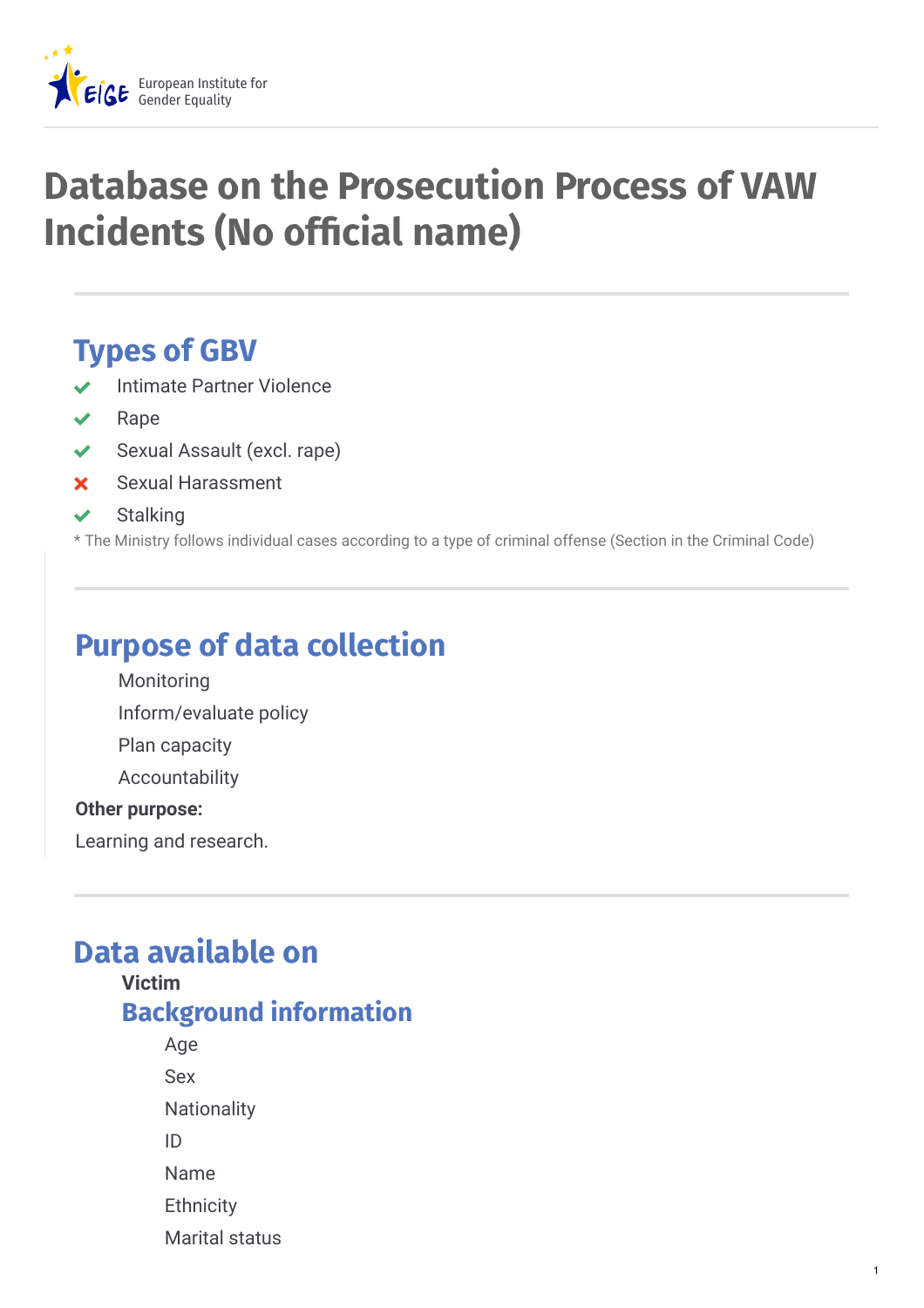

# **Database on the Prosecution Process of VAW Incidents (No official name)**

# **Types of GBV**

- Intimate Partner Violence
- Rape
- ◆ Sexual Assault (excl. rape)
- Sexual Harassment
- **Stalking**

\* The Ministry follows individual cases according to a type of criminal offense (Section in the Criminal Code)

# **Purpose of data collection**

- Monitoring
- Inform/evaluate policy
- Plan capacity
- Accountability

#### **Other purpose:**

Learning and research.

# **Data available on**

**Victim Background information** Age Sex **Nationality** ID Name

- **Ethnicity**
- Marital status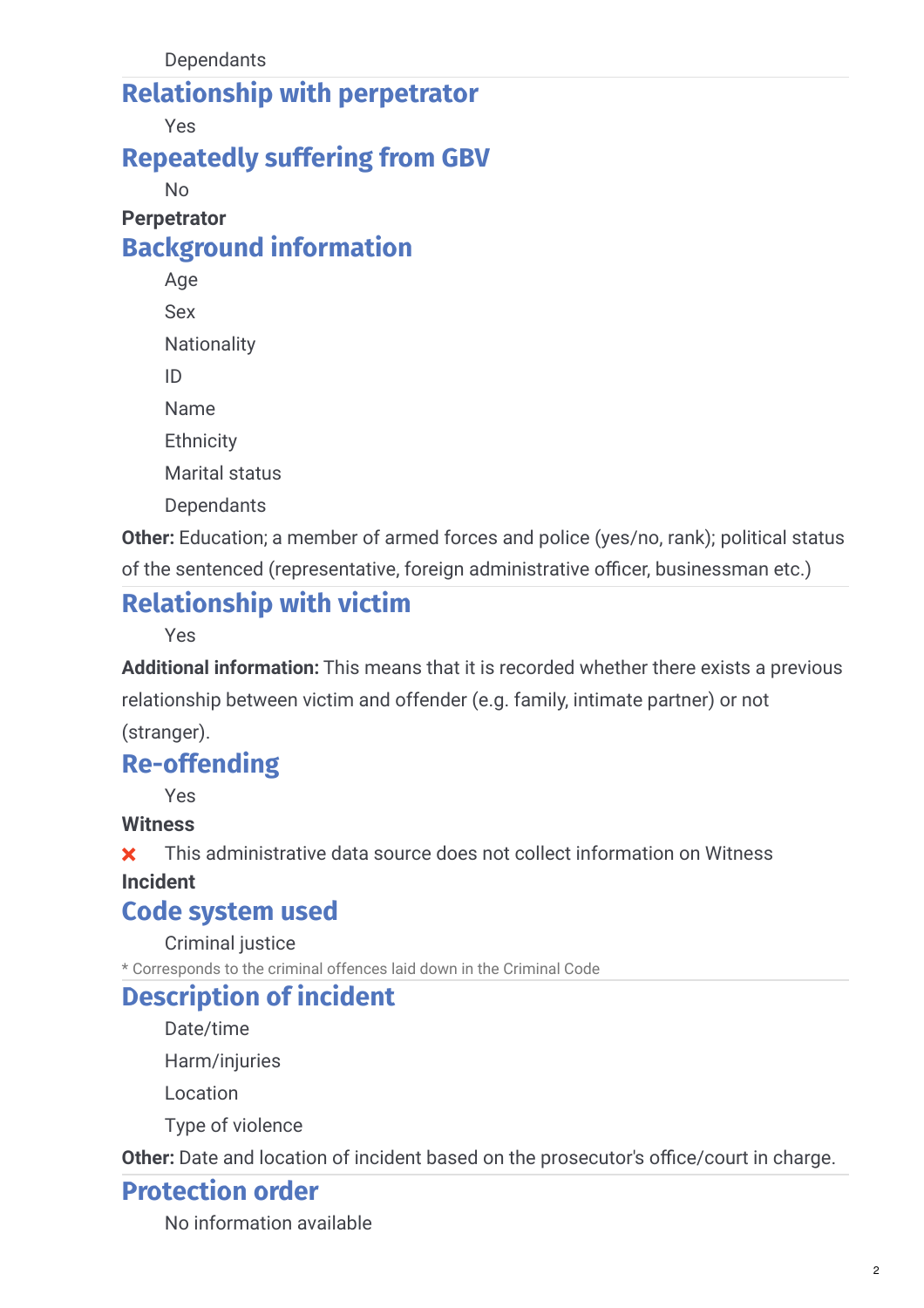### **Relationship with perpetrator**

Yes

### **Repeatedly suffering from GBV**

No

#### **Perpetrator Background information**

Age Sex **Nationality** ID Name **Ethnicity** Marital status **Dependants** 

**Other:** Education; a member of armed forces and police (yes/no, rank); political status of the sentenced (representative, foreign administrative officer, businessman etc.)

# **Relationship with victim**

Yes

**Additional information:** This means that it is recorded whether there exists a previous relationship between victim and offender (e.g. family, intimate partner) or not

(stranger).

### **Re-offending**

Yes

#### **Witness**

**x** This administrative data source does not collect information on Witness

### **Incident**

### **Code system used**

Criminal justice

\* Corresponds to the criminal offences laid down in the Criminal Code

### **Description of incident**

Date/time

Harm/injuries

Location

Type of violence

Other: Date and location of incident based on the prosecutor's office/court in charge.

### **Protection order**

No information available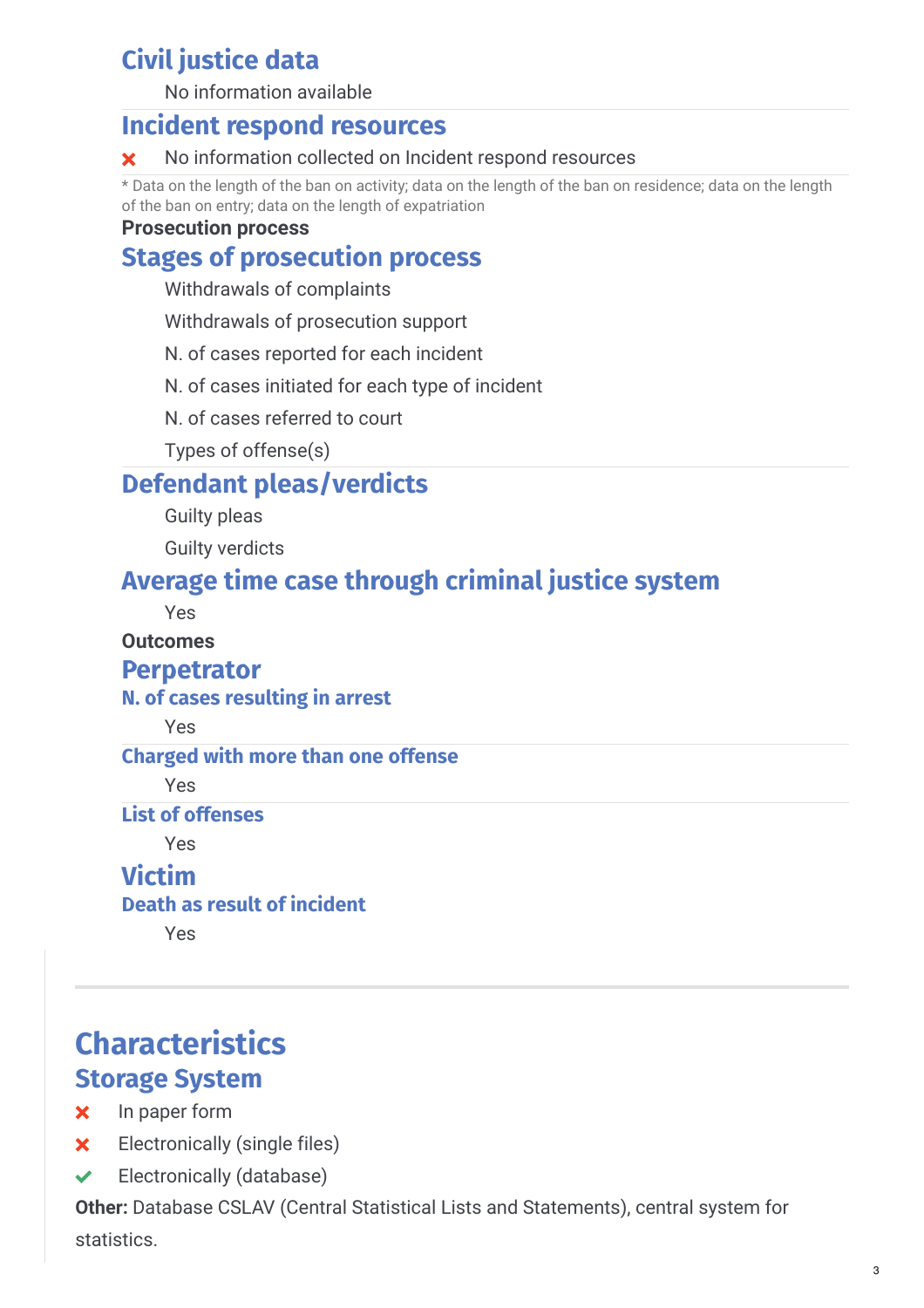# **Civil justice data**

No information available

### **Incident respond resources**

#### **X** No information collected on Incident respond resources

\* Data on the length of the ban on activity; data on the length of the ban on residence; data on the length of the ban on entry; data on the length of expatriation

#### **Prosecution process**

### **Stages of prosecution process**

Withdrawals of complaints

Withdrawals of prosecution support

N. of cases reported for each incident

N. of cases initiated for each type of incident

N. of cases referred to court

Types of offense(s)

### **Defendant pleas/verdicts**

Guilty pleas

Guilty verdicts

### **Average time case through criminal justice system**

Yes

#### **Outcomes**

#### **Perpetrator**

#### **N. of cases resulting in arrest**

Yes

#### **Charged with more than one offense**

Yes

#### **List of offenses**

Yes

### **Victim**

#### **Death as result of incident**

Yes

## **Characteristics Storage System**

#### **x** In paper form

- **x** Electronically (single files)
- $\blacktriangleright$  Electronically (database)

**Other:** Database CSLAV (Central Statistical Lists and Statements), central system for statistics.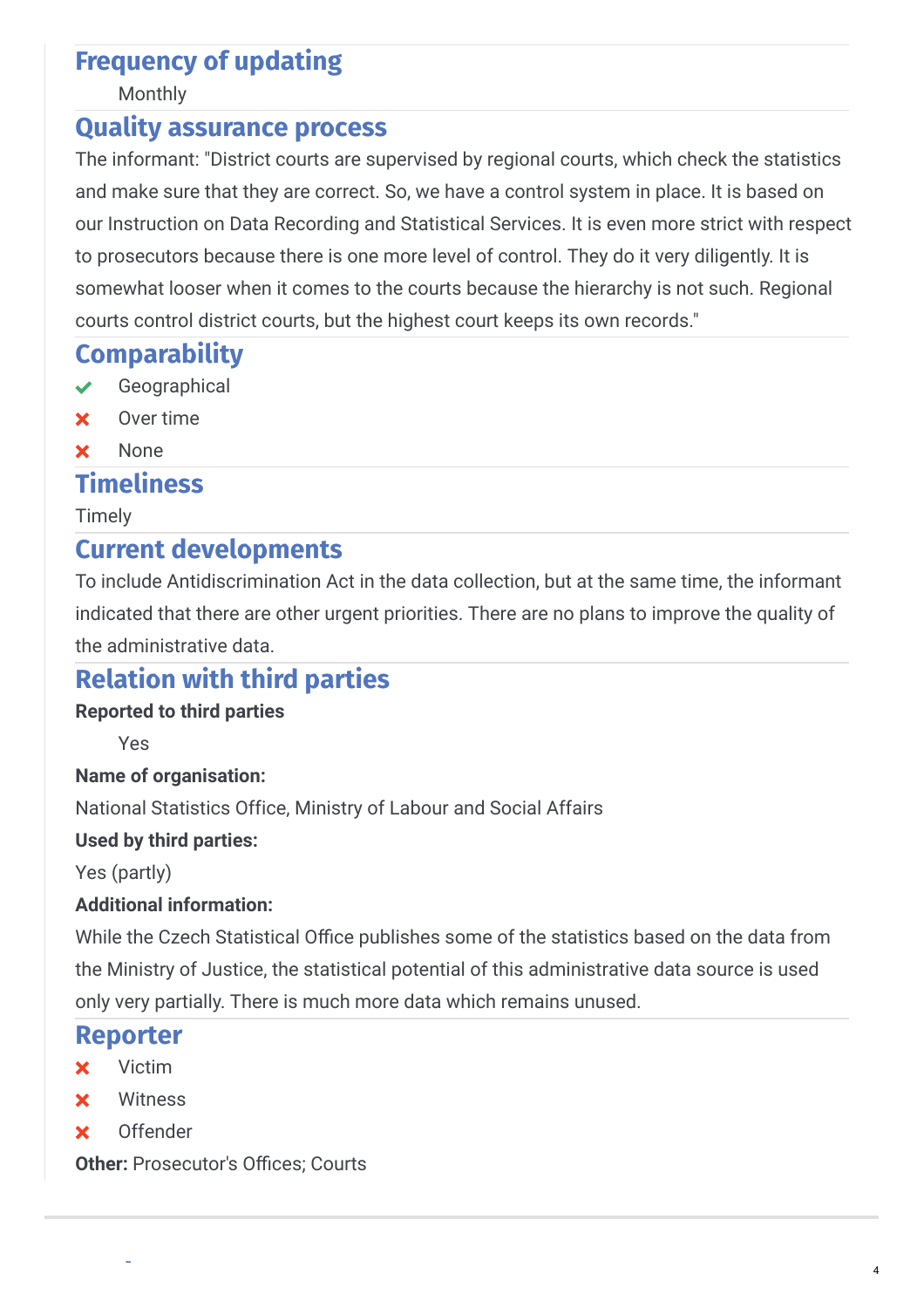### **Frequency of updating**

Monthly

### **Quality assurance process**

The informant: "District courts are supervised by regional courts, which check the statistics and make sure that they are correct. So, we have a control system in place. It is based on our Instruction on Data Recording and Statistical Services. It is even more strict with respect to prosecutors because there is one more level of control. They do it very diligently. It is somewhat looser when it comes to the courts because the hierarchy is not such. Regional courts control district courts, but the highest court keeps its own records."

### **Comparability**

- Geographical
- Over time
- **x** None

### **Timeliness**

Timely

### **Current developments**

To include Antidiscrimination Act in the data collection, but at the same time, the informant indicated that there are other urgent priorities. There are no plans to improve the quality of the administrative data.

### **Relation with third parties**

#### **Reported to third parties**

Yes

#### **Name of organisation:**

National Statistics Office, Ministry of Labour and Social Affairs

#### **Used by third parties:**

Yes (partly)

#### **Additional information:**

While the Czech Statistical Office publishes some of the statistics based on the data from the Ministry of Justice, the statistical potential of this administrative data source is used only very partially. There is much more data which remains unused.

#### **Reporter**

- **x** Victim
- **x** Witness
- Offender

**Metadata**

Other: Prosecutor's Offices; Courts